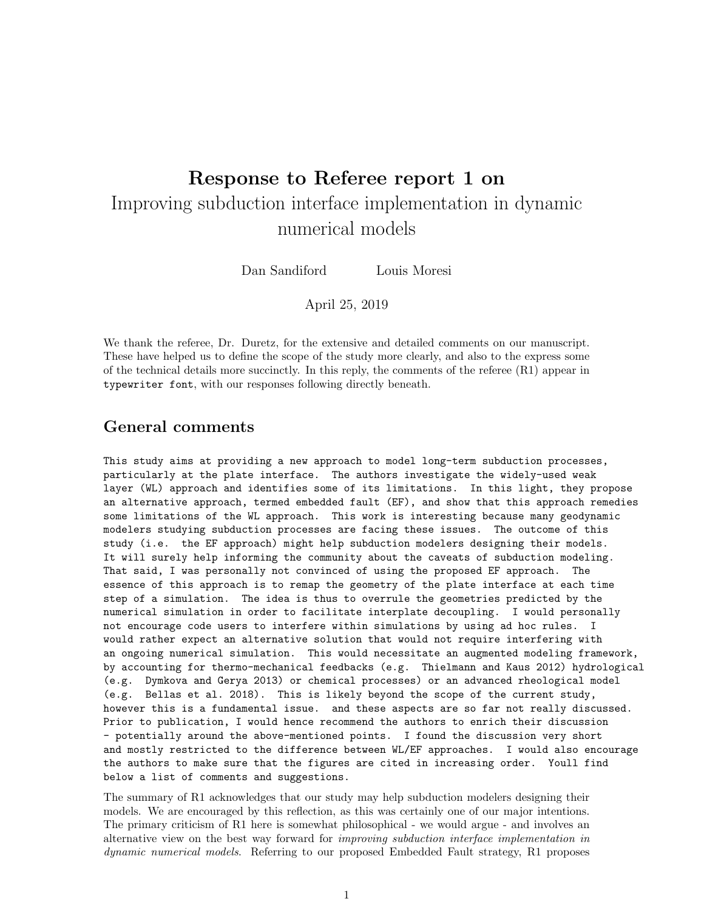# Response to Referee report 1 on Improving subduction interface implementation in dynamic numerical models

Dan Sandiford Louis Moresi

April 25, 2019

We thank the referee, Dr. Duretz, for the extensive and detailed comments on our manuscript. These have helped us to define the scope of the study more clearly, and also to the express some of the technical details more succinctly. In this reply, the comments of the referee (R1) appear in typewriter font, with our responses following directly beneath.

## General comments

This study aims at providing a new approach to model long-term subduction processes, particularly at the plate interface. The authors investigate the widely-used weak layer (WL) approach and identifies some of its limitations. In this light, they propose an alternative approach, termed embedded fault (EF), and show that this approach remedies some limitations of the WL approach. This work is interesting because many geodynamic modelers studying subduction processes are facing these issues. The outcome of this study (i.e. the EF approach) might help subduction modelers designing their models. It will surely help informing the community about the caveats of subduction modeling. That said, I was personally not convinced of using the proposed EF approach. The essence of this approach is to remap the geometry of the plate interface at each time step of a simulation. The idea is thus to overrule the geometries predicted by the numerical simulation in order to facilitate interplate decoupling. I would personally not encourage code users to interfere within simulations by using ad hoc rules. I would rather expect an alternative solution that would not require interfering with an ongoing numerical simulation. This would necessitate an augmented modeling framework, by accounting for thermo-mechanical feedbacks (e.g. Thielmann and Kaus 2012) hydrological (e.g. Dymkova and Gerya 2013) or chemical processes) or an advanced rheological model (e.g. Bellas et al. 2018). This is likely beyond the scope of the current study, however this is a fundamental issue. and these aspects are so far not really discussed. Prior to publication, I would hence recommend the authors to enrich their discussion - potentially around the above-mentioned points. I found the discussion very short and mostly restricted to the difference between WL/EF approaches. I would also encourage the authors to make sure that the figures are cited in increasing order. Youll find below a list of comments and suggestions.

The summary of R1 acknowledges that our study may help subduction modelers designing their models. We are encouraged by this reflection, as this was certainly one of our major intentions. The primary criticism of R1 here is somewhat philosophical - we would argue - and involves an alternative view on the best way forward for *improving subduction interface implementation in* dynamic numerical models. Referring to our proposed Embedded Fault strategy, R1 proposes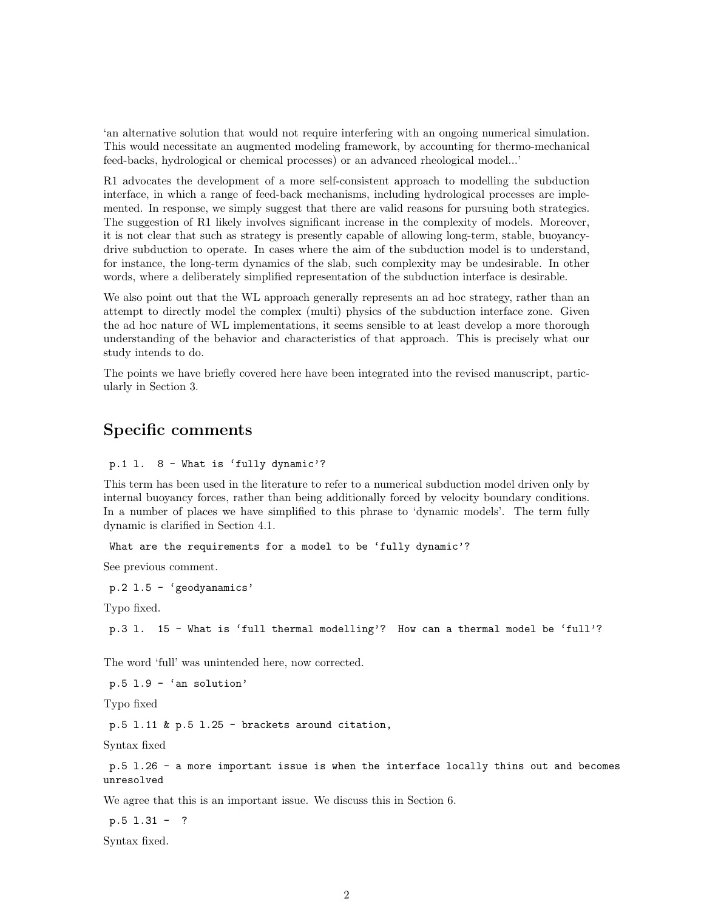'an alternative solution that would not require interfering with an ongoing numerical simulation. This would necessitate an augmented modeling framework, by accounting for thermo-mechanical feed-backs, hydrological or chemical processes) or an advanced rheological model...'

R1 advocates the development of a more self-consistent approach to modelling the subduction interface, in which a range of feed-back mechanisms, including hydrological processes are implemented. In response, we simply suggest that there are valid reasons for pursuing both strategies. The suggestion of R1 likely involves significant increase in the complexity of models. Moreover, it is not clear that such as strategy is presently capable of allowing long-term, stable, buoyancydrive subduction to operate. In cases where the aim of the subduction model is to understand, for instance, the long-term dynamics of the slab, such complexity may be undesirable. In other words, where a deliberately simplified representation of the subduction interface is desirable.

We also point out that the WL approach generally represents an ad hoc strategy, rather than an attempt to directly model the complex (multi) physics of the subduction interface zone. Given the ad hoc nature of WL implementations, it seems sensible to at least develop a more thorough understanding of the behavior and characteristics of that approach. This is precisely what our study intends to do.

The points we have briefly covered here have been integrated into the revised manuscript, particularly in Section 3.

## Specific comments

#### p.1 l. 8 - What is 'fully dynamic'?

This term has been used in the literature to refer to a numerical subduction model driven only by internal buoyancy forces, rather than being additionally forced by velocity boundary conditions. In a number of places we have simplified to this phrase to 'dynamic models'. The term fully dynamic is clarified in Section 4.1.

What are the requirements for a model to be 'fully dynamic'?

See previous comment.

p.2 l.5 - 'geodyanamics'

Typo fixed.

p.3 l. 15 - What is 'full thermal modelling'? How can a thermal model be 'full'?

The word 'full' was unintended here, now corrected.

p.5 l.9 - 'an solution'

Typo fixed

p.5 l.11 & p.5 l.25 - brackets around citation,

Syntax fixed

p.5 l.26 - a more important issue is when the interface locally thins out and becomes unresolved

We agree that this is an important issue. We discuss this in Section 6.

p.5 l.31 - ?

Syntax fixed.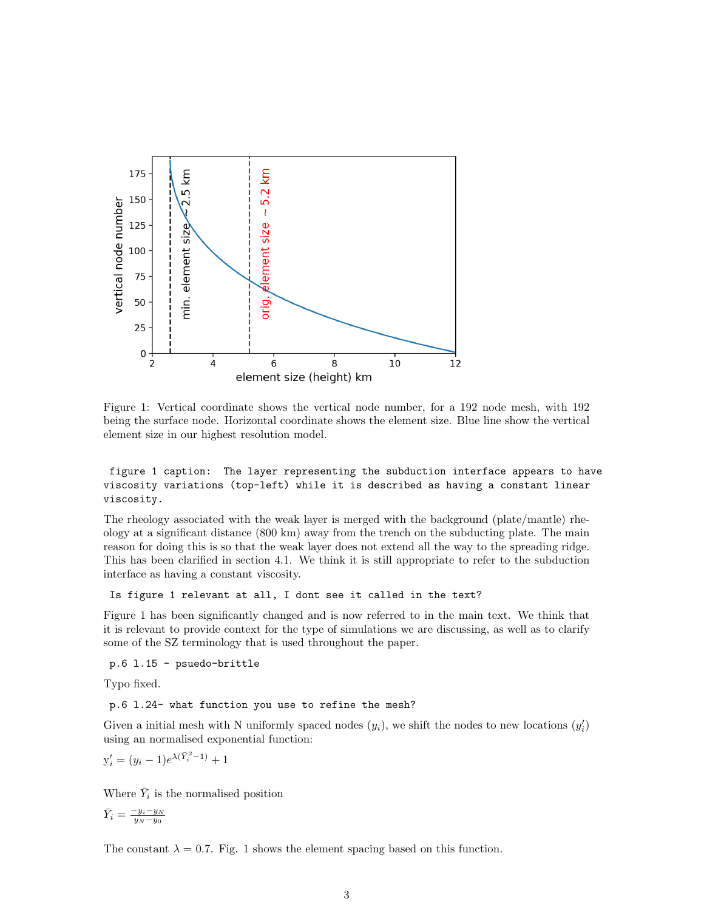

Figure 1: Vertical coordinate shows the vertical node number, for a 192 node mesh, with 192 being the surface node. Horizontal coordinate shows the element size. Blue line show the vertical element size in our highest resolution model.

## figure 1 caption: The layer representing the subduction interface appears to have viscosity variations (top-left) while it is described as having a constant linear viscosity.

The rheology associated with the weak layer is merged with the background (plate/mantle) rheology at a significant distance (800 km) away from the trench on the subducting plate. The main reason for doing this is so that the weak layer does not extend all the way to the spreading ridge. This has been clarified in section 4.1. We think it is still appropriate to refer to the subduction interface as having a constant viscosity.

#### Is figure 1 relevant at all, I dont see it called in the text?

Figure 1 has been significantly changed and is now referred to in the main text. We think that it is relevant to provide context for the type of simulations we are discussing, as well as to clarify some of the SZ terminology that is used throughout the paper.

#### p.6 l.15 - psuedo-brittle

Typo fixed.

#### p.6 l.24- what function you use to refine the mesh?

Given a initial mesh with N uniformly spaced nodes  $(y_i)$ , we shift the nodes to new locations  $(y'_i)$ using an normalised exponential function:

$$
y_i' = (y_i - 1)e^{\lambda(\bar{Y}_i^2 - 1)} + 1
$$

Where  $\bar{Y}_i$  is the normalised position

$$
\bar{Y}_i = \frac{-y_i - y_N}{y_N - y_0}
$$

The constant  $\lambda = 0.7$ . Fig. 1 shows the element spacing based on this function.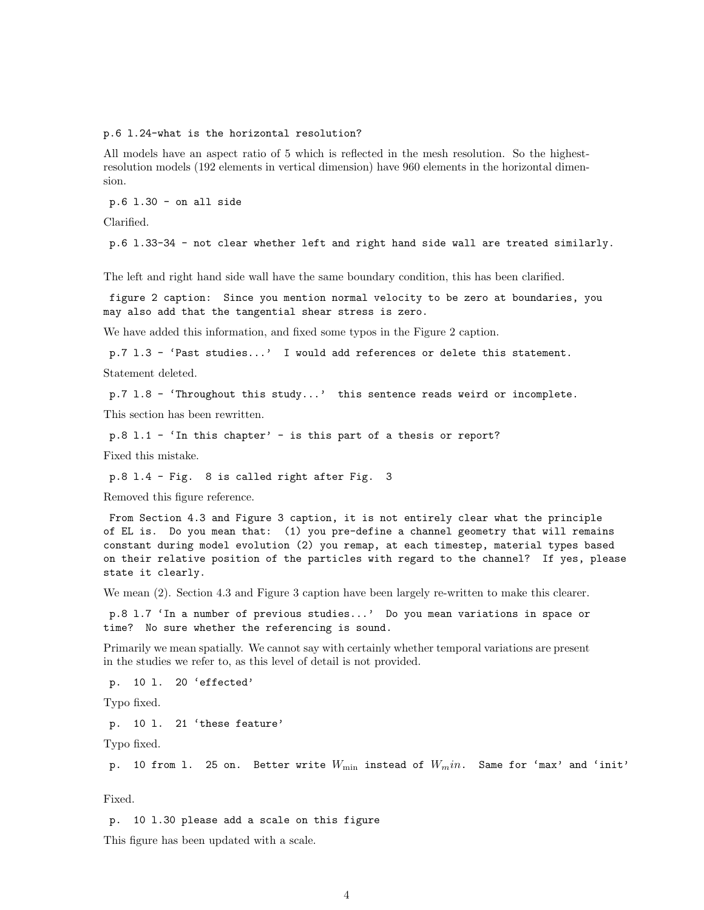p.6 l.24-what is the horizontal resolution?

All models have an aspect ratio of 5 which is reflected in the mesh resolution. So the highestresolution models (192 elements in vertical dimension) have 960 elements in the horizontal dimension.

p.6 l.30 - on all side

Clarified.

p.6 l.33-34 - not clear whether left and right hand side wall are treated similarly.

The left and right hand side wall have the same boundary condition, this has been clarified.

figure 2 caption: Since you mention normal velocity to be zero at boundaries, you may also add that the tangential shear stress is zero.

We have added this information, and fixed some typos in the Figure 2 caption.

p.7 l.3 - 'Past studies...' I would add references or delete this statement.

Statement deleted.

p.7 l.8 - 'Throughout this study...' this sentence reads weird or incomplete.

This section has been rewritten.

p.8 l.1 - 'In this chapter' - is this part of a thesis or report?

Fixed this mistake.

p.8 l.4 - Fig. 8 is called right after Fig. 3

Removed this figure reference.

From Section 4.3 and Figure 3 caption, it is not entirely clear what the principle of EL is. Do you mean that: (1) you pre-define a channel geometry that will remains constant during model evolution (2) you remap, at each timestep, material types based on their relative position of the particles with regard to the channel? If yes, please state it clearly.

We mean  $(2)$ . Section 4.3 and Figure 3 caption have been largely re-written to make this clearer.

p.8 l.7 'In a number of previous studies...' Do you mean variations in space or time? No sure whether the referencing is sound.

Primarily we mean spatially. We cannot say with certainly whether temporal variations are present in the studies we refer to, as this level of detail is not provided.

p. 10 l. 20 'effected'

Typo fixed.

p. 10 l. 21 'these feature'

Typo fixed.

p. 10 from 1. 25 on. Better write  $W_{\min}$  instead of  $W_{m}$ in. Same for 'max' and 'init'

Fixed.

p. 10 l.30 please add a scale on this figure

This figure has been updated with a scale.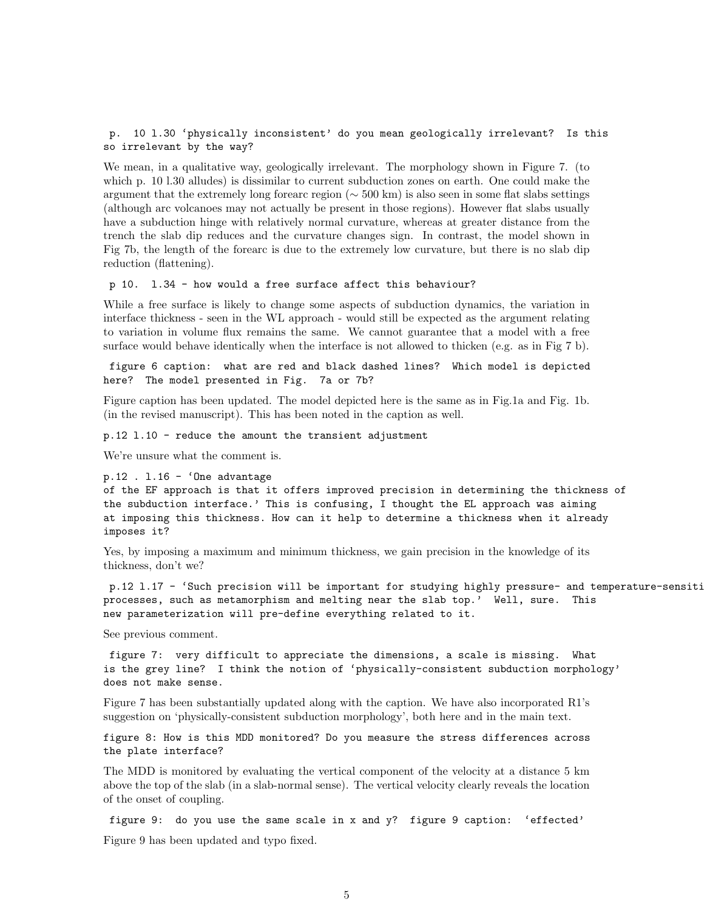### p. 10 l.30 'physically inconsistent' do you mean geologically irrelevant? Is this so irrelevant by the way?

We mean, in a qualitative way, geologically irrelevant. The morphology shown in Figure 7. (to which p. 10 l.30 alludes) is dissimilar to current subduction zones on earth. One could make the argument that the extremely long forearc region (∼ 500 km) is also seen in some flat slabs settings (although arc volcanoes may not actually be present in those regions). However flat slabs usually have a subduction hinge with relatively normal curvature, whereas at greater distance from the trench the slab dip reduces and the curvature changes sign. In contrast, the model shown in Fig 7b, the length of the forearc is due to the extremely low curvature, but there is no slab dip reduction (flattening).

#### p 10. l.34 - how would a free surface affect this behaviour?

While a free surface is likely to change some aspects of subduction dynamics, the variation in interface thickness - seen in the WL approach - would still be expected as the argument relating to variation in volume flux remains the same. We cannot guarantee that a model with a free surface would behave identically when the interface is not allowed to thicken (e.g. as in Fig 7 b).

figure 6 caption: what are red and black dashed lines? Which model is depicted here? The model presented in Fig. 7a or 7b?

Figure caption has been updated. The model depicted here is the same as in Fig.1a and Fig. 1b. (in the revised manuscript). This has been noted in the caption as well.

p.12 l.10 - reduce the amount the transient adjustment

We're unsure what the comment is.

```
p.12. 1.16 - 'One advantage
```

```
of the EF approach is that it offers improved precision in determining the thickness of
the subduction interface.' This is confusing, I thought the EL approach was aiming
at imposing this thickness. How can it help to determine a thickness when it already
imposes it?
```
Yes, by imposing a maximum and minimum thickness, we gain precision in the knowledge of its thickness, don't we?

p.12 1.17 - 'Such precision will be important for studying highly pressure- and temperature-sensiti processes, such as metamorphism and melting near the slab top.' Well, sure. This new parameterization will pre-define everything related to it.

See previous comment.

figure 7: very difficult to appreciate the dimensions, a scale is missing. What is the grey line? I think the notion of 'physically-consistent subduction morphology' does not make sense.

Figure 7 has been substantially updated along with the caption. We have also incorporated R1's suggestion on 'physically-consistent subduction morphology', both here and in the main text.

figure 8: How is this MDD monitored? Do you measure the stress differences across the plate interface?

The MDD is monitored by evaluating the vertical component of the velocity at a distance 5 km above the top of the slab (in a slab-normal sense). The vertical velocity clearly reveals the location of the onset of coupling.

figure 9: do you use the same scale in x and y? figure 9 caption: 'effected' Figure 9 has been updated and typo fixed.